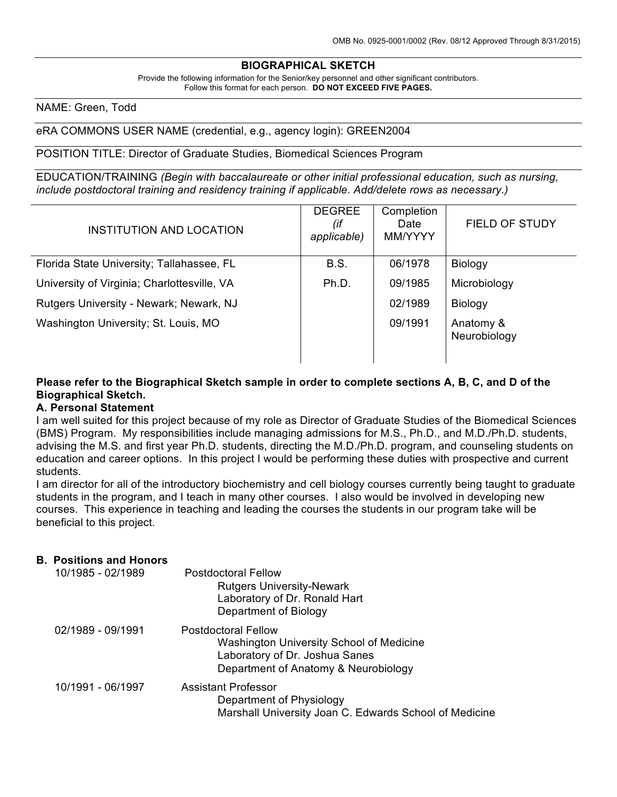### **BIOGRAPHICAL SKETCH**

Provide the following information for the Senior/key personnel and other significant contributors. Follow this format for each person. **DO NOT EXCEED FIVE PAGES.**

#### NAME: Green, Todd

#### eRA COMMONS USER NAME (credential, e.g., agency login): GREEN2004

#### POSITION TITLE: Director of Graduate Studies, Biomedical Sciences Program

EDUCATION/TRAINING *(Begin with baccalaureate or other initial professional education, such as nursing, include postdoctoral training and residency training if applicable. Add/delete rows as necessary.)*

| INSTITUTION AND LOCATION                    | <b>DEGREE</b><br>(if<br>applicable) | Completion<br>Date<br>MM/YYYY | FIELD OF STUDY            |
|---------------------------------------------|-------------------------------------|-------------------------------|---------------------------|
| Florida State University; Tallahassee, FL   | <b>B.S.</b>                         | 06/1978                       | <b>Biology</b>            |
| University of Virginia; Charlottesville, VA | Ph.D.                               | 09/1985                       | Microbiology              |
| Rutgers University - Newark; Newark, NJ     |                                     | 02/1989                       | <b>Biology</b>            |
| Washington University; St. Louis, MO        |                                     | 09/1991                       | Anatomy &<br>Neurobiology |

### **Please refer to the Biographical Sketch sample in order to complete sections A, B, C, and D of the Biographical Sketch.**

#### **A. Personal Statement**

I am well suited for this project because of my role as Director of Graduate Studies of the Biomedical Sciences (BMS) Program. My responsibilities include managing admissions for M.S., Ph.D., and M.D./Ph.D. students, advising the M.S. and first year Ph.D. students, directing the M.D./Ph.D. program, and counseling students on education and career options. In this project I would be performing these duties with prospective and current students.

I am director for all of the introductory biochemistry and cell biology courses currently being taught to graduate students in the program, and I teach in many other courses. I also would be involved in developing new courses. This experience in teaching and leading the courses the students in our program take will be beneficial to this project.

#### **B. Positions and Honors**

| 10/1985 - 02/1989 | <b>Postdoctoral Fellow</b><br><b>Rutgers University-Newark</b><br>Laboratory of Dr. Ronald Hart<br>Department of Biology                         |
|-------------------|--------------------------------------------------------------------------------------------------------------------------------------------------|
| 02/1989 - 09/1991 | <b>Postdoctoral Fellow</b><br>Washington University School of Medicine<br>Laboratory of Dr. Joshua Sanes<br>Department of Anatomy & Neurobiology |
| 10/1991 - 06/1997 | Assistant Professor<br>Department of Physiology<br>Marshall University Joan C. Edwards School of Medicine                                        |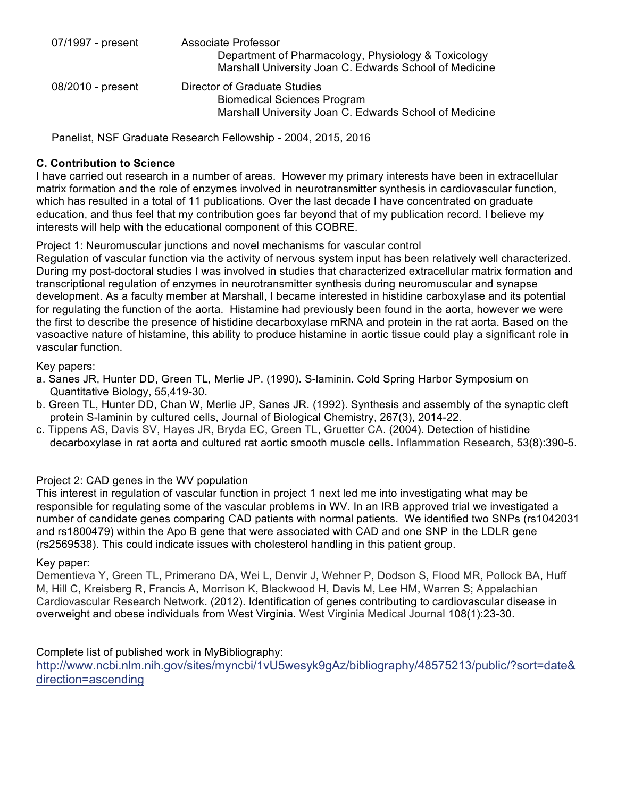| 07/1997 - present | Associate Professor<br>Department of Pharmacology, Physiology & Toxicology<br>Marshall University Joan C. Edwards School of Medicine |
|-------------------|--------------------------------------------------------------------------------------------------------------------------------------|
| 08/2010 - present | Director of Graduate Studies<br><b>Biomedical Sciences Program</b><br>Marshall University Joan C. Edwards School of Medicine         |

Panelist, NSF Graduate Research Fellowship - 2004, 2015, 2016

## **C. Contribution to Science**

I have carried out research in a number of areas. However my primary interests have been in extracellular matrix formation and the role of enzymes involved in neurotransmitter synthesis in cardiovascular function, which has resulted in a total of 11 publications. Over the last decade I have concentrated on graduate education, and thus feel that my contribution goes far beyond that of my publication record. I believe my interests will help with the educational component of this COBRE.

Project 1: Neuromuscular junctions and novel mechanisms for vascular control

Regulation of vascular function via the activity of nervous system input has been relatively well characterized. During my post-doctoral studies I was involved in studies that characterized extracellular matrix formation and transcriptional regulation of enzymes in neurotransmitter synthesis during neuromuscular and synapse development. As a faculty member at Marshall, I became interested in histidine carboxylase and its potential for regulating the function of the aorta. Histamine had previously been found in the aorta, however we were the first to describe the presence of histidine decarboxylase mRNA and protein in the rat aorta. Based on the vasoactive nature of histamine, this ability to produce histamine in aortic tissue could play a significant role in vascular function.

## Key papers:

- a. Sanes JR, Hunter DD, Green TL, Merlie JP. (1990). S-laminin. Cold Spring Harbor Symposium on Quantitative Biology, 55,419-30.
- b. Green TL, Hunter DD, Chan W, Merlie JP, Sanes JR. (1992). Synthesis and assembly of the synaptic cleft protein S-laminin by cultured cells, Journal of Biological Chemistry, 267(3), 2014-22.
- c. Tippens AS, Davis SV, Hayes JR, Bryda EC, Green TL, Gruetter CA. (2004). Detection of histidine decarboxylase in rat aorta and cultured rat aortic smooth muscle cells. Inflammation Research, 53(8):390-5.

# Project 2: CAD genes in the WV population

This interest in regulation of vascular function in project 1 next led me into investigating what may be responsible for regulating some of the vascular problems in WV. In an IRB approved trial we investigated a number of candidate genes comparing CAD patients with normal patients. We identified two SNPs (rs1042031 and rs1800479) within the Apo B gene that were associated with CAD and one SNP in the LDLR gene (rs2569538). This could indicate issues with cholesterol handling in this patient group.

### Key paper:

Dementieva Y, Green TL, Primerano DA, Wei L, Denvir J, Wehner P, Dodson S, Flood MR, Pollock BA, Huff M, Hill C, Kreisberg R, Francis A, Morrison K, Blackwood H, Davis M, Lee HM, Warren S; Appalachian Cardiovascular Research Network. (2012). Identification of genes contributing to cardiovascular disease in overweight and obese individuals from West Virginia. West Virginia Medical Journal 108(1):23-30.

Complete list of published work in MyBibliography:

http://www.ncbi.nlm.nih.gov/sites/myncbi/1vU5wesyk9gAz/bibliography/48575213/public/?sort=date& direction=ascending